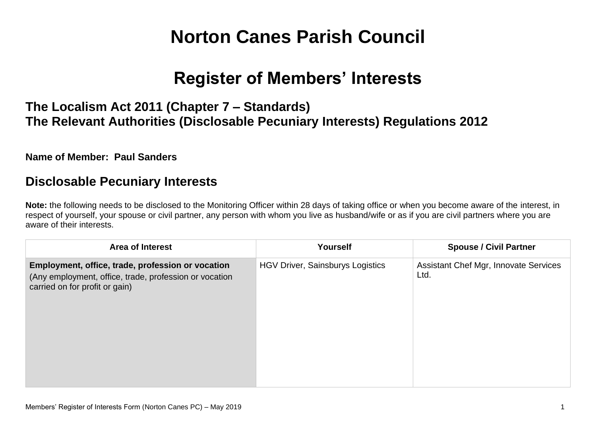# **Norton Canes Parish Council**

# **Register of Members' Interests**

# **The Localism Act 2011 (Chapter 7 – Standards) The Relevant Authorities (Disclosable Pecuniary Interests) Regulations 2012**

**Name of Member: Paul Sanders**

#### **Disclosable Pecuniary Interests**

**Note:** the following needs to be disclosed to the Monitoring Officer within 28 days of taking office or when you become aware of the interest, in respect of yourself, your spouse or civil partner, any person with whom you live as husband/wife or as if you are civil partners where you are aware of their interests.

| <b>Area of Interest</b>                                                                                                                       | Yourself                                | <b>Spouse / Civil Partner</b>                        |
|-----------------------------------------------------------------------------------------------------------------------------------------------|-----------------------------------------|------------------------------------------------------|
| Employment, office, trade, profession or vocation<br>(Any employment, office, trade, profession or vocation<br>carried on for profit or gain) | <b>HGV Driver, Sainsburys Logistics</b> | <b>Assistant Chef Mgr, Innovate Services</b><br>Ltd. |
|                                                                                                                                               |                                         |                                                      |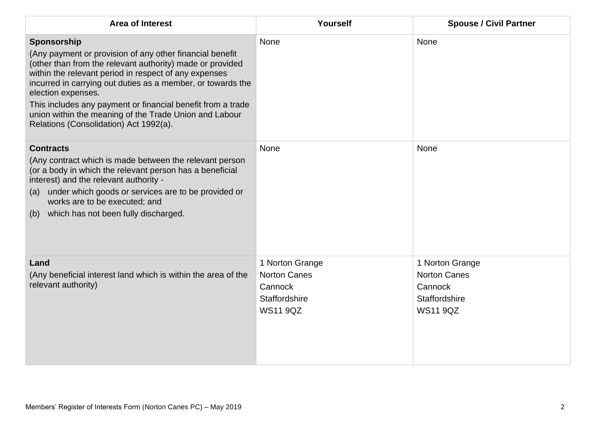| <b>Area of Interest</b>                                                                                                                                                                                                                                                                                                                                                                                                                               | Yourself                                                                              | <b>Spouse / Civil Partner</b>                                                         |
|-------------------------------------------------------------------------------------------------------------------------------------------------------------------------------------------------------------------------------------------------------------------------------------------------------------------------------------------------------------------------------------------------------------------------------------------------------|---------------------------------------------------------------------------------------|---------------------------------------------------------------------------------------|
| Sponsorship<br>(Any payment or provision of any other financial benefit<br>(other than from the relevant authority) made or provided<br>within the relevant period in respect of any expenses<br>incurred in carrying out duties as a member, or towards the<br>election expenses.<br>This includes any payment or financial benefit from a trade<br>union within the meaning of the Trade Union and Labour<br>Relations (Consolidation) Act 1992(a). | None                                                                                  | None                                                                                  |
| <b>Contracts</b><br>(Any contract which is made between the relevant person<br>(or a body in which the relevant person has a beneficial<br>interest) and the relevant authority -<br>(a) under which goods or services are to be provided or<br>works are to be executed; and<br>which has not been fully discharged.<br>(b)                                                                                                                          | None                                                                                  | None                                                                                  |
| Land<br>(Any beneficial interest land which is within the area of the<br>relevant authority)                                                                                                                                                                                                                                                                                                                                                          | 1 Norton Grange<br><b>Norton Canes</b><br>Cannock<br>Staffordshire<br><b>WS11 9QZ</b> | 1 Norton Grange<br><b>Norton Canes</b><br>Cannock<br>Staffordshire<br><b>WS11 9QZ</b> |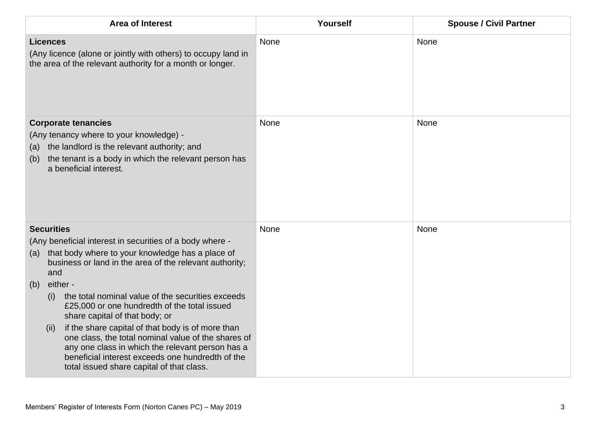| <b>Area of Interest</b>                                                                                                                                                                                                                                                                                                                                                                                                                                                                                                                                                                                                                              | Yourself | <b>Spouse / Civil Partner</b> |
|------------------------------------------------------------------------------------------------------------------------------------------------------------------------------------------------------------------------------------------------------------------------------------------------------------------------------------------------------------------------------------------------------------------------------------------------------------------------------------------------------------------------------------------------------------------------------------------------------------------------------------------------------|----------|-------------------------------|
| <b>Licences</b><br>(Any licence (alone or jointly with others) to occupy land in<br>the area of the relevant authority for a month or longer.                                                                                                                                                                                                                                                                                                                                                                                                                                                                                                        | None     | None                          |
| <b>Corporate tenancies</b><br>(Any tenancy where to your knowledge) -<br>the landlord is the relevant authority; and<br>(a)<br>the tenant is a body in which the relevant person has<br>(b)<br>a beneficial interest.                                                                                                                                                                                                                                                                                                                                                                                                                                | None     | None                          |
| <b>Securities</b><br>(Any beneficial interest in securities of a body where -<br>that body where to your knowledge has a place of<br>(a)<br>business or land in the area of the relevant authority;<br>and<br>either -<br>(b)<br>the total nominal value of the securities exceeds<br>(i)<br>£25,000 or one hundredth of the total issued<br>share capital of that body; or<br>if the share capital of that body is of more than<br>(ii)<br>one class, the total nominal value of the shares of<br>any one class in which the relevant person has a<br>beneficial interest exceeds one hundredth of the<br>total issued share capital of that class. | None     | None                          |